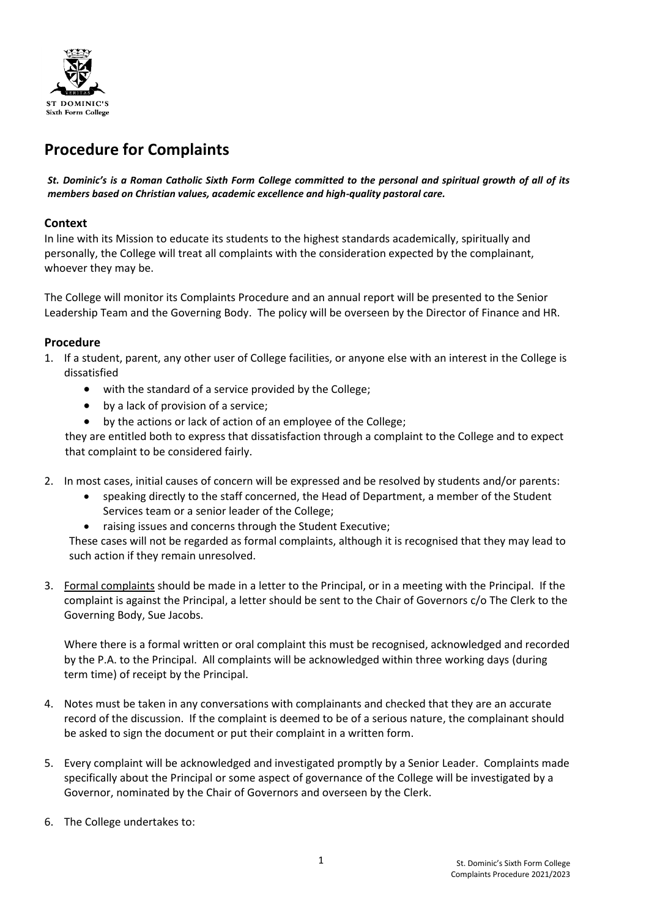

# **Procedure for Complaints**

*St. Dominic's is a Roman Catholic Sixth Form College committed to the personal and spiritual growth of all of its members based on Christian values, academic excellence and high-quality pastoral care.*

## **Context**

In line with its Mission to educate its students to the highest standards academically, spiritually and personally, the College will treat all complaints with the consideration expected by the complainant, whoever they may be.

The College will monitor its Complaints Procedure and an annual report will be presented to the Senior Leadership Team and the Governing Body. The policy will be overseen by the Director of Finance and HR.

## **Procedure**

- 1. If a student, parent, any other user of College facilities, or anyone else with an interest in the College is dissatisfied
	- with the standard of a service provided by the College;
	- by a lack of provision of a service;
	- by the actions or lack of action of an employee of the College;

they are entitled both to express that dissatisfaction through a complaint to the College and to expect that complaint to be considered fairly.

- 2. In most cases, initial causes of concern will be expressed and be resolved by students and/or parents:
	- speaking directly to the staff concerned, the Head of Department, a member of the Student Services team or a senior leader of the College;
	- raising issues and concerns through the Student Executive;

These cases will not be regarded as formal complaints, although it is recognised that they may lead to such action if they remain unresolved.

3. Formal complaints should be made in a letter to the Principal, or in a meeting with the Principal. If the complaint is against the Principal, a letter should be sent to the Chair of Governors c/o The Clerk to the Governing Body, Sue Jacobs.

Where there is a formal written or oral complaint this must be recognised, acknowledged and recorded by the P.A. to the Principal. All complaints will be acknowledged within three working days (during term time) of receipt by the Principal.

- 4. Notes must be taken in any conversations with complainants and checked that they are an accurate record of the discussion. If the complaint is deemed to be of a serious nature, the complainant should be asked to sign the document or put their complaint in a written form.
- 5. Every complaint will be acknowledged and investigated promptly by a Senior Leader. Complaints made specifically about the Principal or some aspect of governance of the College will be investigated by a Governor, nominated by the Chair of Governors and overseen by the Clerk.
- 6. The College undertakes to: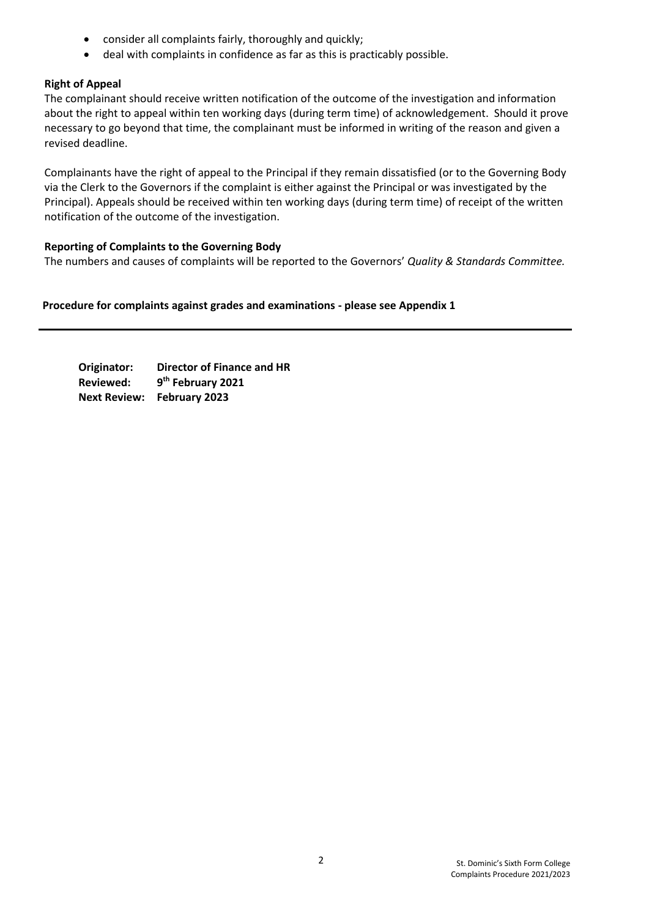- consider all complaints fairly, thoroughly and quickly;
- deal with complaints in confidence as far as this is practicably possible.

## **Right of Appeal**

The complainant should receive written notification of the outcome of the investigation and information about the right to appeal within ten working days (during term time) of acknowledgement. Should it prove necessary to go beyond that time, the complainant must be informed in writing of the reason and given a revised deadline.

Complainants have the right of appeal to the Principal if they remain dissatisfied (or to the Governing Body via the Clerk to the Governors if the complaint is either against the Principal or was investigated by the Principal). Appeals should be received within ten working days (during term time) of receipt of the written notification of the outcome of the investigation.

## **Reporting of Complaints to the Governing Body**

The numbers and causes of complaints will be reported to the Governors' *Quality & Standards Committee.*

**Procedure for complaints against grades and examinations - please see Appendix 1**

**Originator: Director of Finance and HR Reviewed: 9 th February 2021 Next Review: February 2023**